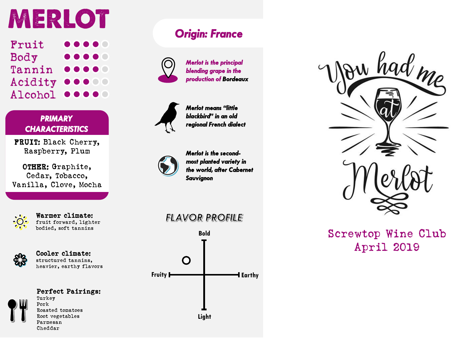# MERLOT

| Fruit         | $\begin{array}{ccccc}\n\bullet & \bullet & \bullet & \bullet & \bullet & \bullet\end{array}$                    |
|---------------|-----------------------------------------------------------------------------------------------------------------|
| Body          | $\begin{array}{c} \bullet\bullet\bullet\bullet\bullet\end{array}$                                               |
| Tannin        | $\begin{array}{cccccccccccccc} \bullet & \bullet & \bullet & \bullet & \bullet & \bullet & \bullet \end{array}$ |
| Acidity       | 00000                                                                                                           |
| Alcohol 00000 |                                                                                                                 |

*PRIMARY CHARACTERISTICS*

FRUIT: Black Cherry, Raspberry, Plum

OTHER: Graphite, Cedar, Tobacco, Vanilla, Clove, Mocha

Warmer climate: fruit forward, lighter bodied, soft tannins



### Cooler climate:

structured tannins, heavier, earthy flavors

#### Perfect Pairings:

Turkey Pork Roasted tomatoes Root vegetables Parmesan Cheddar

# *Origin: France*



*Merlot is the principal blending grape in the production of Bordeaux*



*Merlot means "little blackbird" in an old regional French dialect*



*Merlot is the secondmost planted variety in the world, after Cabernet Sauvignon*

## **FLAVOR PROFILE**





# Screwtop Wine Club April 2019